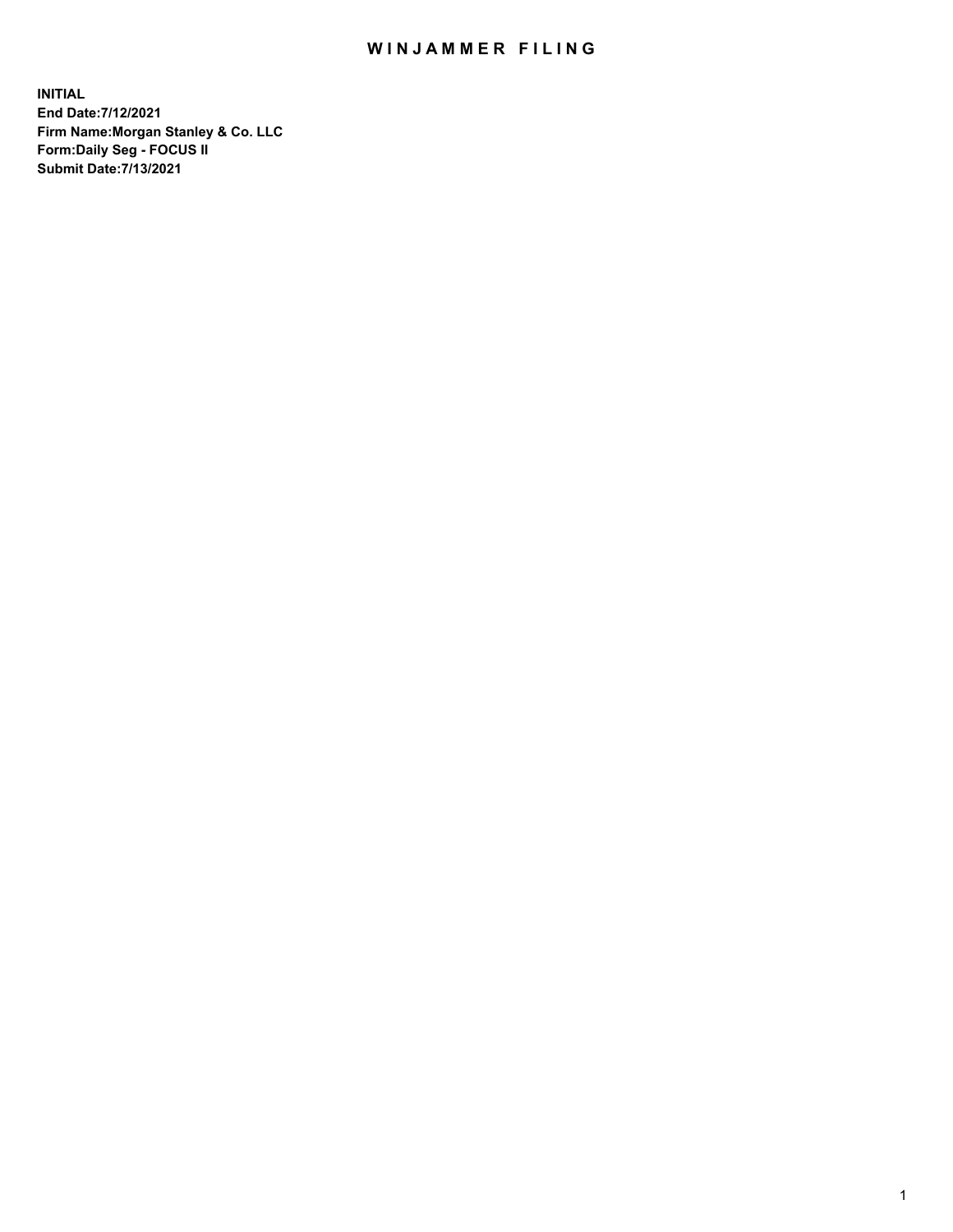## WIN JAMMER FILING

**INITIAL End Date:7/12/2021 Firm Name:Morgan Stanley & Co. LLC Form:Daily Seg - FOCUS II Submit Date:7/13/2021**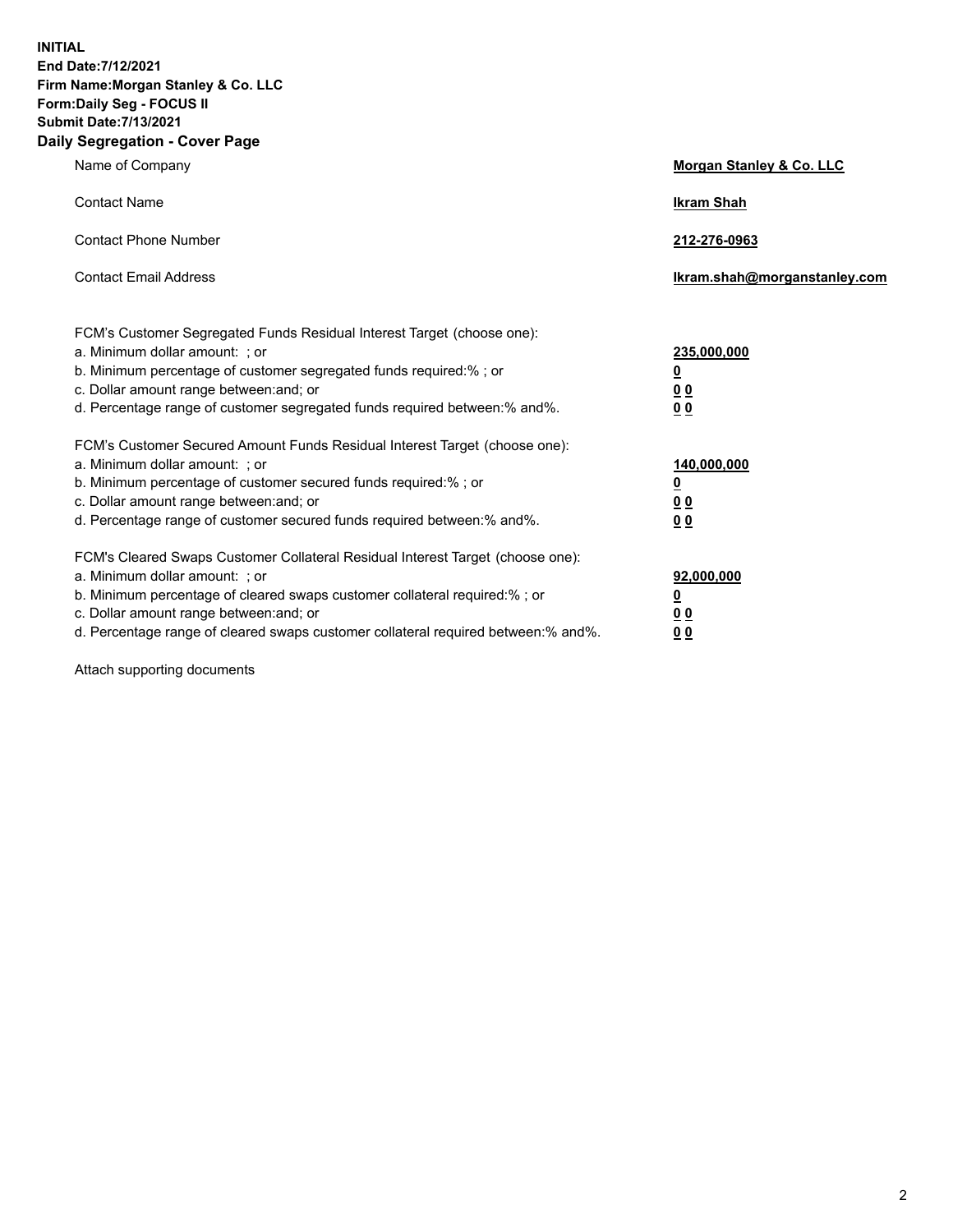**INITIAL End Date:7/12/2021 Firm Name:Morgan Stanley & Co. LLC Form:Daily Seg - FOCUS II Submit Date:7/13/2021 Daily Segregation - Cover Page**

| Name of Company                                                                                                                                                                                                                                                                                                                | <b>Morgan Stanley &amp; Co. LLC</b>                    |
|--------------------------------------------------------------------------------------------------------------------------------------------------------------------------------------------------------------------------------------------------------------------------------------------------------------------------------|--------------------------------------------------------|
| <b>Contact Name</b>                                                                                                                                                                                                                                                                                                            | <b>Ikram Shah</b>                                      |
| <b>Contact Phone Number</b>                                                                                                                                                                                                                                                                                                    | 212-276-0963                                           |
| <b>Contact Email Address</b>                                                                                                                                                                                                                                                                                                   | Ikram.shah@morganstanley.com                           |
| FCM's Customer Segregated Funds Residual Interest Target (choose one):<br>a. Minimum dollar amount: : or<br>b. Minimum percentage of customer segregated funds required:%; or<br>c. Dollar amount range between: and; or<br>d. Percentage range of customer segregated funds required between:% and%.                          | 235,000,000<br><u>0</u><br><u>00</u><br><u>00</u>      |
| FCM's Customer Secured Amount Funds Residual Interest Target (choose one):<br>a. Minimum dollar amount: ; or<br>b. Minimum percentage of customer secured funds required:%; or<br>c. Dollar amount range between: and; or<br>d. Percentage range of customer secured funds required between:% and%.                            | 140,000,000<br><u>0</u><br><u>00</u><br>0 <sub>0</sub> |
| FCM's Cleared Swaps Customer Collateral Residual Interest Target (choose one):<br>a. Minimum dollar amount: ; or<br>b. Minimum percentage of cleared swaps customer collateral required:% ; or<br>c. Dollar amount range between: and; or<br>d. Percentage range of cleared swaps customer collateral required between:% and%. | 92,000,000<br><u>0</u><br><u>00</u><br>00              |

Attach supporting documents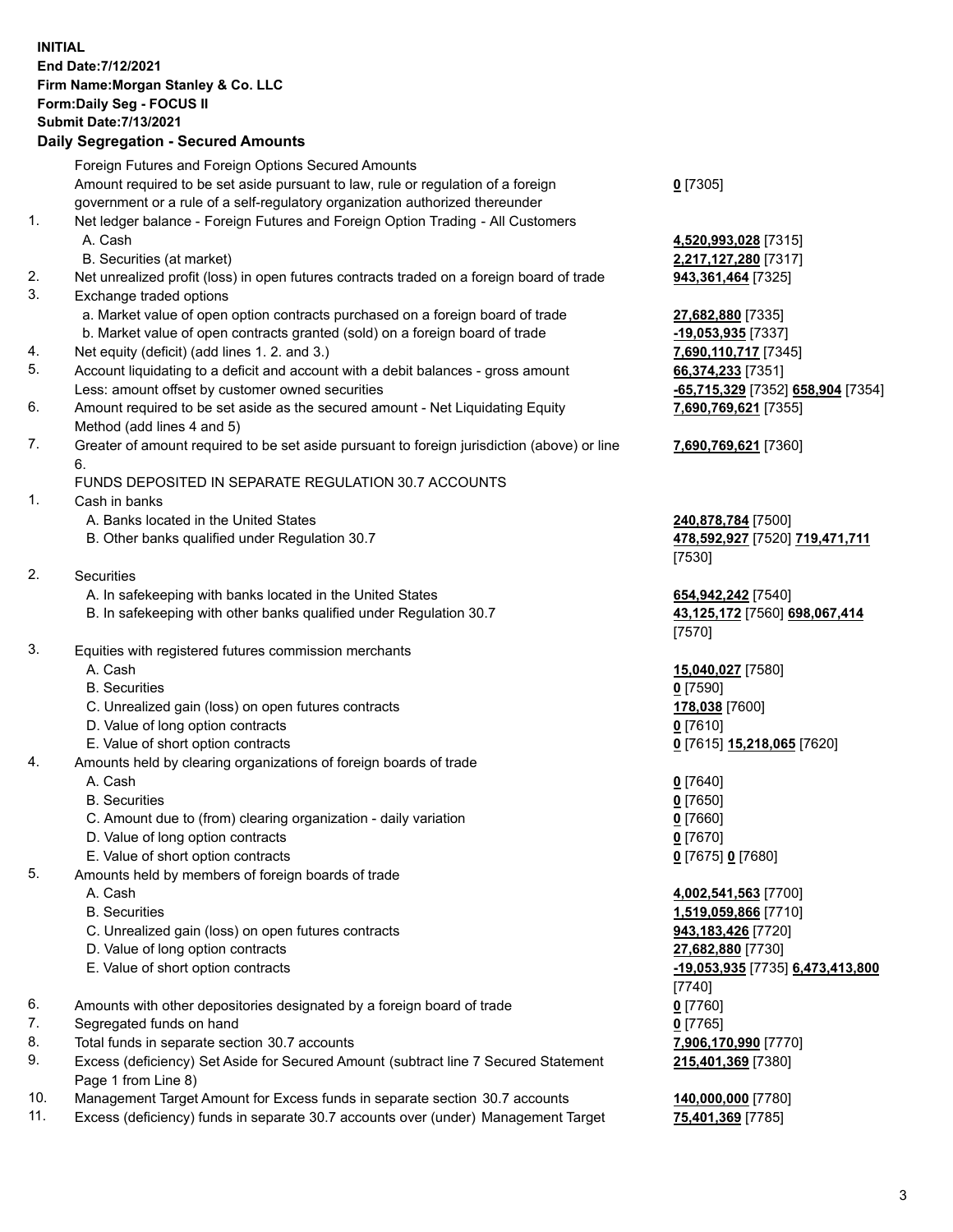## **INITIAL End Date:7/12/2021 Firm Name:Morgan Stanley & Co. LLC Form:Daily Seg - FOCUS II Submit Date:7/13/2021**

## **Daily Segregation - Secured Amounts**

|    | Foreign Futures and Foreign Options Secured Amounts<br>Amount required to be set aside pursuant to law, rule or regulation of a foreign | $0$ [7305]                   |
|----|-----------------------------------------------------------------------------------------------------------------------------------------|------------------------------|
|    | government or a rule of a self-regulatory organization authorized thereunder                                                            |                              |
| 1. | Net ledger balance - Foreign Futures and Foreign Option Trading - All Customers                                                         |                              |
|    | A. Cash                                                                                                                                 | 4,520,993,028 [7315]         |
|    | B. Securities (at market)                                                                                                               | 2,217,127,280 [7317]         |
| 2. | Net unrealized profit (loss) in open futures contracts traded on a foreign board of trade                                               | 943,361,464 [7325]           |
| 3. | Exchange traded options                                                                                                                 |                              |
|    | a. Market value of open option contracts purchased on a foreign board of trade                                                          | 27,682,880 [7335]            |
|    | b. Market value of open contracts granted (sold) on a foreign board of trade                                                            | $-19,053,935$ [7337]         |
| 4. | Net equity (deficit) (add lines 1.2. and 3.)                                                                                            | 7,690,110,717 [7345]         |
| 5. | Account liquidating to a deficit and account with a debit balances - gross amount                                                       | 66,374,233 [7351]            |
|    | Less: amount offset by customer owned securities                                                                                        | <u>-65,715,329</u> [7352] 65 |
| 6. | Amount required to be set aside as the secured amount - Net Liquidating Equity                                                          | 7,690,769,621 [7355]         |
|    | Method (add lines 4 and 5)                                                                                                              |                              |
| 7. | Greater of amount required to be set aside pursuant to foreign jurisdiction (above) or line<br>6.                                       | 7,690,769,621 [7360]         |
|    | FUNDS DEPOSITED IN SEPARATE REGULATION 30.7 ACCOUNTS                                                                                    |                              |
| 1. | Cash in banks                                                                                                                           |                              |
|    | A. Banks located in the United States                                                                                                   | <b>240,878,784</b> [7500]    |
|    | B. Other banks qualified under Regulation 30.7                                                                                          | 478,592,927 [7520] 7         |
|    |                                                                                                                                         | [7530]                       |
| 2. | Securities                                                                                                                              |                              |
|    | A. In safekeeping with banks located in the United States                                                                               | 654,942,242 [7540]           |
|    | B. In safekeeping with other banks qualified under Regulation 30.7                                                                      | 43,125,172 [7560] 69         |
|    |                                                                                                                                         | [7570]                       |
| 3. | Equities with registered futures commission merchants                                                                                   |                              |
|    | A. Cash                                                                                                                                 | 15,040,027 [7580]            |
|    | <b>B.</b> Securities                                                                                                                    | $0$ [7590]                   |
|    | C. Unrealized gain (loss) on open futures contracts                                                                                     | 178,038 [7600]               |
|    | D. Value of long option contracts                                                                                                       | $0$ [7610]                   |
|    | E. Value of short option contracts                                                                                                      | 0 [7615] 15,218,065 [        |
| 4. | Amounts held by clearing organizations of foreign boards of trade                                                                       |                              |
|    | A. Cash                                                                                                                                 | $0$ [7640]                   |
|    | <b>B.</b> Securities                                                                                                                    | $0$ [7650]                   |
|    | C. Amount due to (from) clearing organization - daily variation                                                                         | $0$ [7660]                   |
|    | D. Value of long option contracts                                                                                                       | $0$ [7670]                   |
|    | E. Value of short option contracts                                                                                                      | 0 [7675] 0 [7680]            |
| 5. | Amounts held by members of foreign boards of trade                                                                                      |                              |
|    | A. Cash                                                                                                                                 | 4,002,541,563 [7700]         |
|    | <b>B.</b> Securities                                                                                                                    | 1,519,059,866 [7710]         |
|    | C. Unrealized gain (loss) on open futures contracts                                                                                     | 943,183,426 [7720]           |
|    | D. Value of long option contracts                                                                                                       | 27,682,880 [7730]            |
|    | E. Value of short option contracts                                                                                                      | -19,053,935 [7735] 6,        |
|    |                                                                                                                                         | $[7740]$                     |
| 6. | Amounts with other depositories designated by a foreign board of trade                                                                  | $0$ [7760]                   |
| 7. | Segregated funds on hand                                                                                                                | $0$ [7765]                   |
| 8. | Total funds in separate section 30.7 accounts                                                                                           | 7,906,170,990 [7770]         |
| 9. | Excess (deficiency) Set Aside for Secured Amount (subtract line 7 Secured Statement<br>Page 1 from Line 8)                              | 215,401,369 [7380]           |

- 10. Management Target Amount for Excess funds in separate section 30.7 accounts **140,000,000** [7780]
- 11. Excess (deficiency) funds in separate 30.7 accounts over (under) Management Target **75,401,369** [7785]

Less: amount offset by customer owned securities **-65,715,329** [7352] **658,904** [7354] **69,621** [7355]

## **69,621** [7360]

**8,784** [7500] B. Other banks qualified under Regulation 30.7 **478,592,927** [7520] **719,471,711**

B. In safekeeping with other banks qualified under Regulation 30.7 **43,125,172** [7560] **698,067,414**

E. Value of short option contracts **0** [7615] **15,218,065** [7620]

 A. Cash **4,002,541,563** [7700] **59,866** [7710] **0. 426** [7720] E. Value of short option contracts **-19,053,935** [7735] **6,473,413,800 215,401,369** [7380]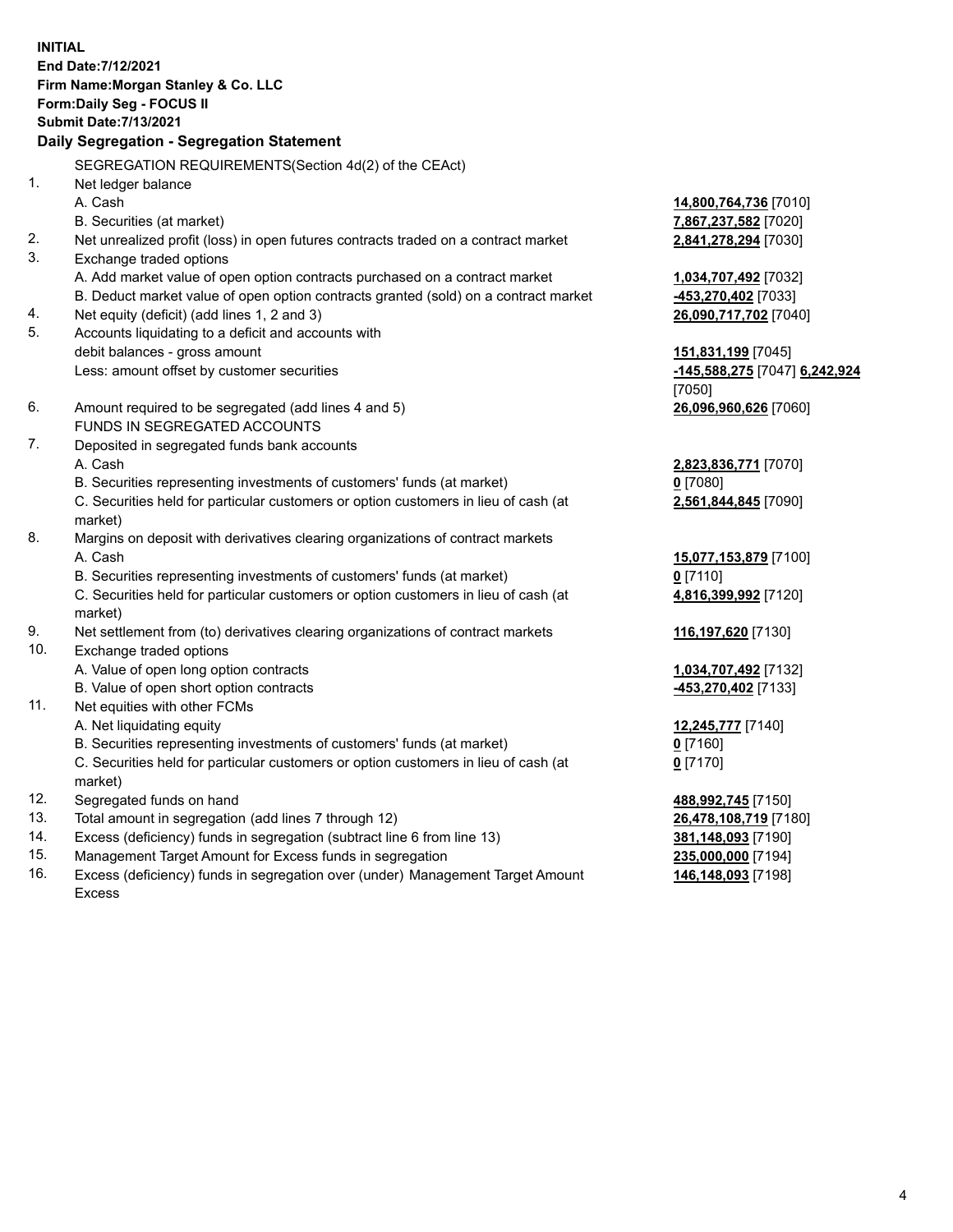**INITIAL End Date:7/12/2021 Firm Name:Morgan Stanley & Co. LLC Form:Daily Seg - FOCUS II Submit Date:7/13/2021 Daily Segregation - Segregation Statement** SEGREGATION REQUIREMENTS(Section 4d(2) of the CEAct) 1. Net ledger balance A. Cash **14,800,764,736** [7010] B. Securities (at market) **7,867,237,582** [7020] 2. Net unrealized profit (loss) in open futures contracts traded on a contract market **2,841,278,294** [7030] 3. Exchange traded options A. Add market value of open option contracts purchased on a contract market **1,034,707,492** [7032] B. Deduct market value of open option contracts granted (sold) on a contract market **-453,270,402** [7033] 4. Net equity (deficit) (add lines 1, 2 and 3) **26,090,717,702** [7040] 5. Accounts liquidating to a deficit and accounts with debit balances - gross amount **151,831,199** [7045] Less: amount offset by customer securities **-145,588,275** [7047] **6,242,924** [7050] 6. Amount required to be segregated (add lines 4 and 5) **26,096,960,626** [7060] FUNDS IN SEGREGATED ACCOUNTS 7. Deposited in segregated funds bank accounts A. Cash **2,823,836,771** [7070] B. Securities representing investments of customers' funds (at market) **0** [7080] C. Securities held for particular customers or option customers in lieu of cash (at market) **2,561,844,845** [7090] 8. Margins on deposit with derivatives clearing organizations of contract markets A. Cash **15,077,153,879** [7100] B. Securities representing investments of customers' funds (at market) **0** [7110] C. Securities held for particular customers or option customers in lieu of cash (at market) **4,816,399,992** [7120] 9. Net settlement from (to) derivatives clearing organizations of contract markets **116,197,620** [7130] 10. Exchange traded options A. Value of open long option contracts **1,034,707,492** [7132] B. Value of open short option contracts **-453,270,402** [7133] 11. Net equities with other FCMs A. Net liquidating equity **12,245,777** [7140] B. Securities representing investments of customers' funds (at market) **0** [7160] C. Securities held for particular customers or option customers in lieu of cash (at market) **0** [7170] 12. Segregated funds on hand **488,992,745** [7150] 13. Total amount in segregation (add lines 7 through 12) **26,478,108,719** [7180] 14. Excess (deficiency) funds in segregation (subtract line 6 from line 13) **381,148,093** [7190]

- 15. Management Target Amount for Excess funds in segregation **235,000,000** [7194]
- 16. Excess (deficiency) funds in segregation over (under) Management Target Amount Excess

**146,148,093** [7198]